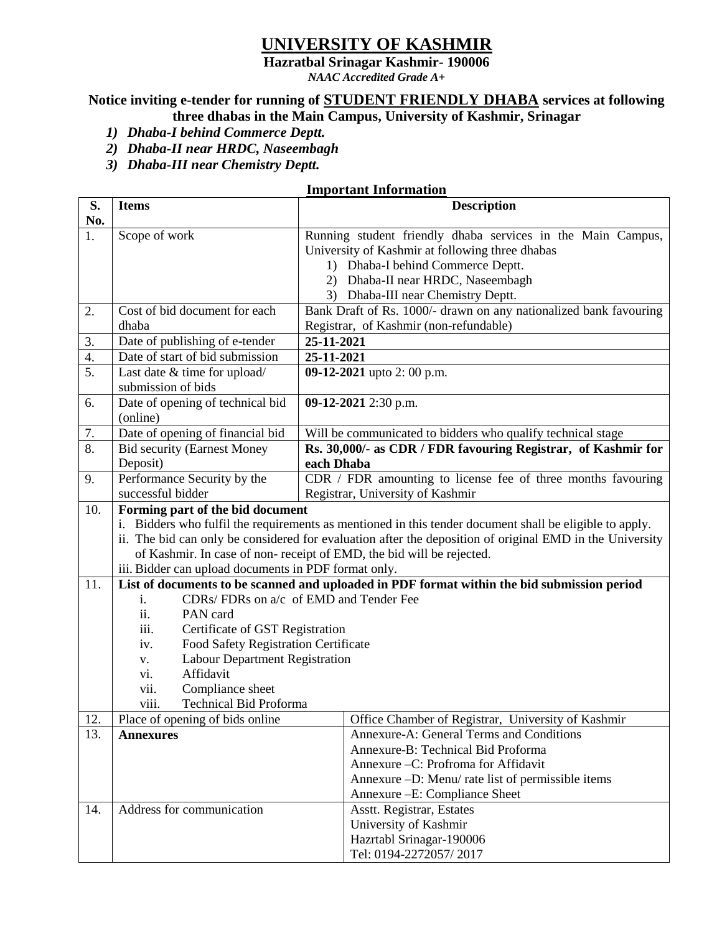## **UNIVERSITY OF KASHMIR**

**Hazratbal Srinagar Kashmir- 190006**

*NAAC Accredited Grade A+*

# **Notice inviting e-tender for running of STUDENT FRIENDLY DHABA services at following**

- **three dhabas in the Main Campus, University of Kashmir, Srinagar**
- *1) Dhaba-I behind Commerce Deptt.*
- *2) Dhaba-II near HRDC, Naseembagh*
- *3) Dhaba-III near Chemistry Deptt.*

## **Important Information**

| S.               | <b>Items</b>                                                                                             | <b>Description</b>                                                |  |  |
|------------------|----------------------------------------------------------------------------------------------------------|-------------------------------------------------------------------|--|--|
| No.              |                                                                                                          |                                                                   |  |  |
| 1.               | Scope of work                                                                                            | Running student friendly dhaba services in the Main Campus,       |  |  |
|                  |                                                                                                          | University of Kashmir at following three dhabas                   |  |  |
|                  |                                                                                                          | 1) Dhaba-I behind Commerce Deptt.                                 |  |  |
|                  |                                                                                                          | Dhaba-II near HRDC, Naseembagh<br>2)                              |  |  |
|                  |                                                                                                          | 3) Dhaba-III near Chemistry Deptt.                                |  |  |
| 2.               | Cost of bid document for each                                                                            | Bank Draft of Rs. 1000/- drawn on any nationalized bank favouring |  |  |
|                  | dhaba                                                                                                    | Registrar, of Kashmir (non-refundable)                            |  |  |
| 3.               | Date of publishing of e-tender                                                                           | 25-11-2021                                                        |  |  |
| 4.               | Date of start of bid submission                                                                          | 25-11-2021                                                        |  |  |
| $\overline{5}$ . | Last date & time for upload/                                                                             | 09-12-2021 upto 2: 00 p.m.                                        |  |  |
|                  | submission of bids                                                                                       |                                                                   |  |  |
| 6.               | Date of opening of technical bid                                                                         | 09-12-2021 2:30 p.m.                                              |  |  |
|                  | (online)                                                                                                 |                                                                   |  |  |
| 7.               | Date of opening of financial bid                                                                         | Will be communicated to bidders who qualify technical stage       |  |  |
| 8.               | <b>Bid security (Earnest Money</b>                                                                       | Rs. 30,000/- as CDR / FDR favouring Registrar, of Kashmir for     |  |  |
|                  | Deposit)                                                                                                 | each Dhaba                                                        |  |  |
| 9.               | Performance Security by the                                                                              | CDR / FDR amounting to license fee of three months favouring      |  |  |
|                  | successful bidder                                                                                        | Registrar, University of Kashmir                                  |  |  |
| 10.              | Forming part of the bid document                                                                         |                                                                   |  |  |
|                  | i. Bidders who fulfil the requirements as mentioned in this tender document shall be eligible to apply.  |                                                                   |  |  |
|                  | ii. The bid can only be considered for evaluation after the deposition of original EMD in the University |                                                                   |  |  |
|                  | of Kashmir. In case of non-receipt of EMD, the bid will be rejected.                                     |                                                                   |  |  |
|                  | iii. Bidder can upload documents in PDF format only.                                                     |                                                                   |  |  |
| 11.              | List of documents to be scanned and uploaded in PDF format within the bid submission period              |                                                                   |  |  |
|                  | CDRs/ FDRs on a/c of EMD and Tender Fee<br>i.                                                            |                                                                   |  |  |
|                  | ii.<br>PAN card                                                                                          |                                                                   |  |  |
|                  | Certificate of GST Registration<br>iii.                                                                  |                                                                   |  |  |
|                  | Food Safety Registration Certificate<br>iv.                                                              |                                                                   |  |  |
|                  | <b>Labour Department Registration</b><br>V.                                                              |                                                                   |  |  |
|                  | Affidavit<br>vi.                                                                                         |                                                                   |  |  |
|                  | Compliance sheet<br>vii.                                                                                 |                                                                   |  |  |
|                  | <b>Technical Bid Proforma</b><br>viii.                                                                   |                                                                   |  |  |
| 12.              | Place of opening of bids online                                                                          | Office Chamber of Registrar, University of Kashmir                |  |  |
| 13.              | <b>Annexures</b>                                                                                         | Annexure-A: General Terms and Conditions                          |  |  |
|                  |                                                                                                          | Annexure-B: Technical Bid Proforma                                |  |  |
|                  |                                                                                                          | Annexure -C: Profroma for Affidavit                               |  |  |
|                  |                                                                                                          | Annexure -D: Menu/ rate list of permissible items                 |  |  |
|                  |                                                                                                          | Annexure - E: Compliance Sheet                                    |  |  |
| 14.              | Address for communication                                                                                | Asstt. Registrar, Estates                                         |  |  |
|                  |                                                                                                          | University of Kashmir                                             |  |  |
|                  |                                                                                                          | Hazrtabl Srinagar-190006                                          |  |  |
|                  |                                                                                                          | Tel: 0194-2272057/2017                                            |  |  |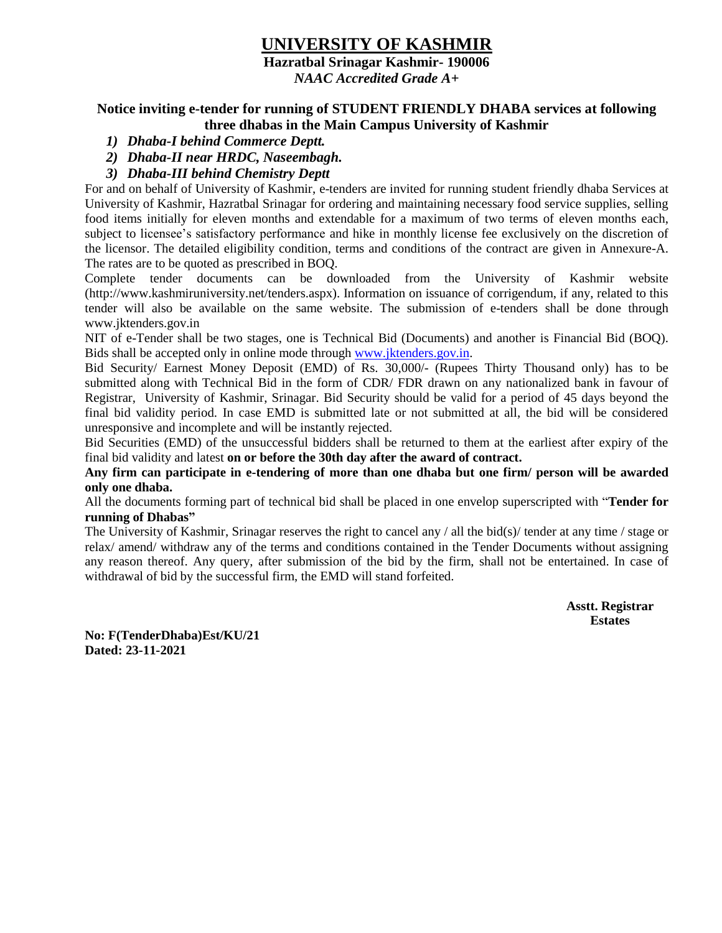## **UNIVERSITY OF KASHMIR**

**Hazratbal Srinagar Kashmir- 190006**

*NAAC Accredited Grade A+*

#### **Notice inviting e-tender for running of STUDENT FRIENDLY DHABA services at following three dhabas in the Main Campus University of Kashmir**

- *1) Dhaba-I behind Commerce Deptt.*
- *2) Dhaba-II near HRDC, Naseembagh.*
- *3) Dhaba-III behind Chemistry Deptt*

For and on behalf of University of Kashmir, e-tenders are invited for running student friendly dhaba Services at University of Kashmir, Hazratbal Srinagar for ordering and maintaining necessary food service supplies, selling food items initially for eleven months and extendable for a maximum of two terms of eleven months each, subject to licensee's satisfactory performance and hike in monthly license fee exclusively on the discretion of the licensor. The detailed eligibility condition, terms and conditions of the contract are given in Annexure-A. The rates are to be quoted as prescribed in BOQ.

Complete tender documents can be downloaded from the University of Kashmir website (http://www.kashmiruniversity.net/tenders.aspx). Information on issuance of corrigendum, if any, related to this tender will also be available on the same website. The submission of e-tenders shall be done through www.jktenders.gov.in

NIT of e-Tender shall be two stages, one is Technical Bid (Documents) and another is Financial Bid (BOQ). Bids shall be accepted only in online mode through [www.jktenders.gov.in.](http://www.jktenders.gov.in/)

Bid Security/ Earnest Money Deposit (EMD) of Rs. 30,000/- (Rupees Thirty Thousand only) has to be submitted along with Technical Bid in the form of CDR/ FDR drawn on any nationalized bank in favour of Registrar, University of Kashmir, Srinagar. Bid Security should be valid for a period of 45 days beyond the final bid validity period. In case EMD is submitted late or not submitted at all, the bid will be considered unresponsive and incomplete and will be instantly rejected.

Bid Securities (EMD) of the unsuccessful bidders shall be returned to them at the earliest after expiry of the final bid validity and latest **on or before the 30th day after the award of contract.**

**Any firm can participate in e-tendering of more than one dhaba but one firm/ person will be awarded only one dhaba.**

All the documents forming part of technical bid shall be placed in one envelop superscripted with "**Tender for running of Dhabas"**

The University of Kashmir, Srinagar reserves the right to cancel any / all the bid(s)/ tender at any time / stage or relax/ amend/ withdraw any of the terms and conditions contained in the Tender Documents without assigning any reason thereof. Any query, after submission of the bid by the firm, shall not be entertained. In case of withdrawal of bid by the successful firm, the EMD will stand forfeited.

> **Asstt. Registrar Estates**

**No: F(TenderDhaba)Est/KU/21 Dated: 23-11-2021**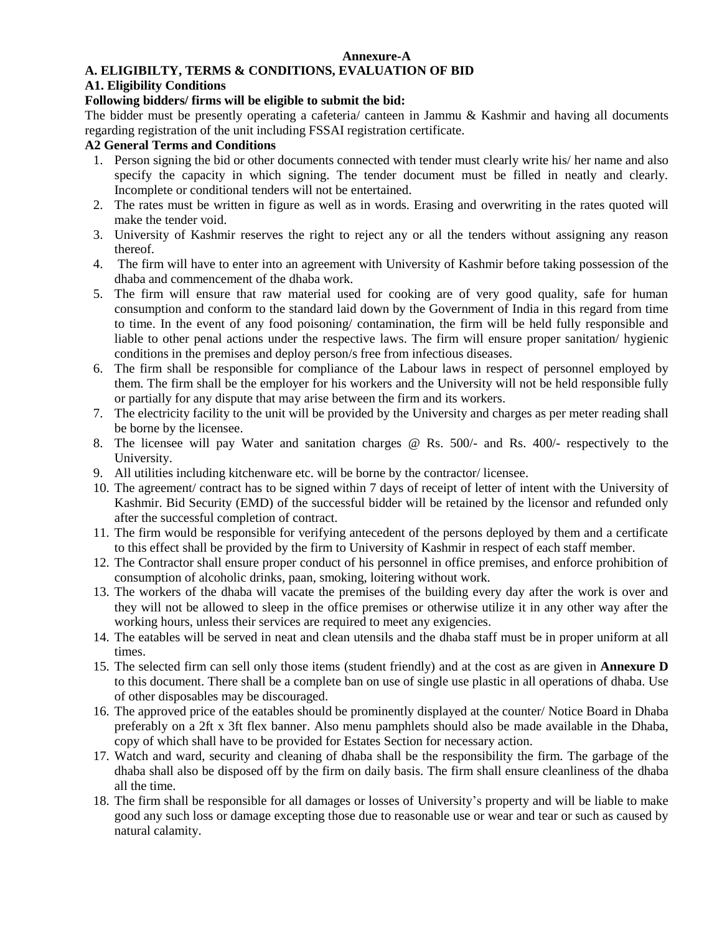#### **Annexure-A**

### **A. ELIGIBILTY, TERMS & CONDITIONS, EVALUATION OF BID**

#### **A1. Eligibility Conditions**

#### **Following bidders/ firms will be eligible to submit the bid:**

The bidder must be presently operating a cafeteria/ canteen in Jammu & Kashmir and having all documents regarding registration of the unit including FSSAI registration certificate.

#### **A2 General Terms and Conditions**

- 1. Person signing the bid or other documents connected with tender must clearly write his/ her name and also specify the capacity in which signing. The tender document must be filled in neatly and clearly. Incomplete or conditional tenders will not be entertained.
- 2. The rates must be written in figure as well as in words. Erasing and overwriting in the rates quoted will make the tender void.
- 3. University of Kashmir reserves the right to reject any or all the tenders without assigning any reason thereof.
- 4. The firm will have to enter into an agreement with University of Kashmir before taking possession of the dhaba and commencement of the dhaba work.
- 5. The firm will ensure that raw material used for cooking are of very good quality, safe for human consumption and conform to the standard laid down by the Government of India in this regard from time to time. In the event of any food poisoning/ contamination, the firm will be held fully responsible and liable to other penal actions under the respective laws. The firm will ensure proper sanitation/ hygienic conditions in the premises and deploy person/s free from infectious diseases.
- 6. The firm shall be responsible for compliance of the Labour laws in respect of personnel employed by them. The firm shall be the employer for his workers and the University will not be held responsible fully or partially for any dispute that may arise between the firm and its workers.
- 7. The electricity facility to the unit will be provided by the University and charges as per meter reading shall be borne by the licensee.
- 8. The licensee will pay Water and sanitation charges @ Rs. 500/- and Rs. 400/- respectively to the University.
- 9. All utilities including kitchenware etc. will be borne by the contractor/ licensee.
- 10. The agreement/ contract has to be signed within 7 days of receipt of letter of intent with the University of Kashmir. Bid Security (EMD) of the successful bidder will be retained by the licensor and refunded only after the successful completion of contract.
- 11. The firm would be responsible for verifying antecedent of the persons deployed by them and a certificate to this effect shall be provided by the firm to University of Kashmir in respect of each staff member.
- 12. The Contractor shall ensure proper conduct of his personnel in office premises, and enforce prohibition of consumption of alcoholic drinks, paan, smoking, loitering without work.
- 13. The workers of the dhaba will vacate the premises of the building every day after the work is over and they will not be allowed to sleep in the office premises or otherwise utilize it in any other way after the working hours, unless their services are required to meet any exigencies.
- 14. The eatables will be served in neat and clean utensils and the dhaba staff must be in proper uniform at all times.
- 15. The selected firm can sell only those items (student friendly) and at the cost as are given in **Annexure D** to this document. There shall be a complete ban on use of single use plastic in all operations of dhaba. Use of other disposables may be discouraged.
- 16. The approved price of the eatables should be prominently displayed at the counter/ Notice Board in Dhaba preferably on a 2ft x 3ft flex banner. Also menu pamphlets should also be made available in the Dhaba, copy of which shall have to be provided for Estates Section for necessary action.
- 17. Watch and ward, security and cleaning of dhaba shall be the responsibility the firm. The garbage of the dhaba shall also be disposed off by the firm on daily basis. The firm shall ensure cleanliness of the dhaba all the time.
- 18. The firm shall be responsible for all damages or losses of University's property and will be liable to make good any such loss or damage excepting those due to reasonable use or wear and tear or such as caused by natural calamity.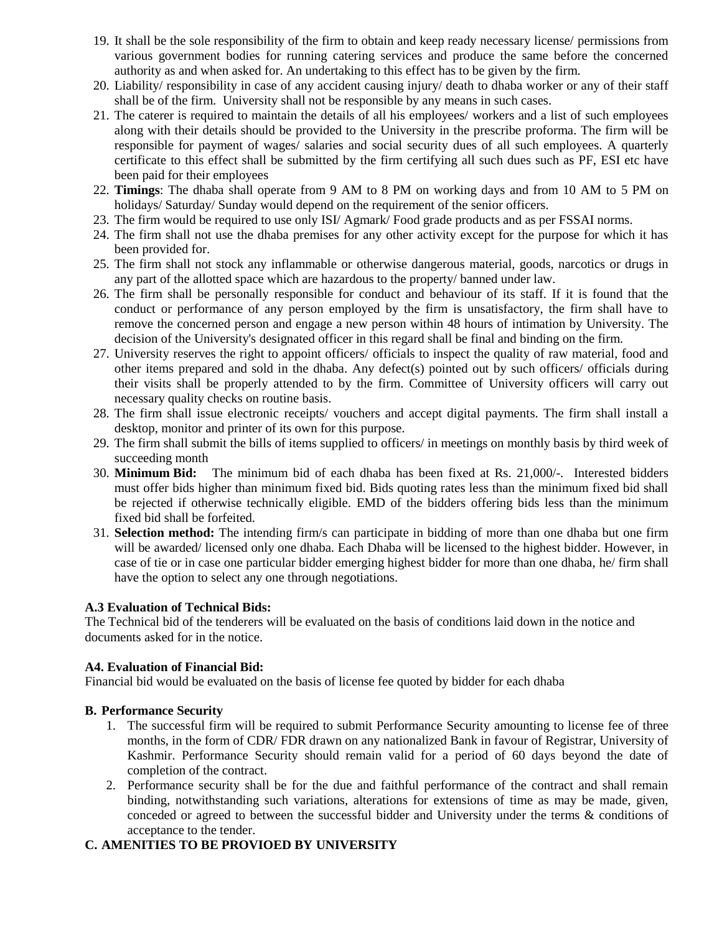- 19. It shall be the sole responsibility of the firm to obtain and keep ready necessary license/ permissions from various government bodies for running catering services and produce the same before the concerned authority as and when asked for. An undertaking to this effect has to be given by the firm.
- 20. Liability/ responsibility in case of any accident causing injury/ death to dhaba worker or any of their staff shall be of the firm. University shall not be responsible by any means in such cases.
- 21. The caterer is required to maintain the details of all his employees/ workers and a list of such employees along with their details should be provided to the University in the prescribe proforma. The firm will be responsible for payment of wages/ salaries and social security dues of all such employees. A quarterly certificate to this effect shall be submitted by the firm certifying all such dues such as PF, ESI etc have been paid for their employees
- 22. **Timings**: The dhaba shall operate from 9 AM to 8 PM on working days and from 10 AM to 5 PM on holidays/ Saturday/ Sunday would depend on the requirement of the senior officers.
- 23. The firm would be required to use only ISI/ Agmark/ Food grade products and as per FSSAI norms.
- 24. The firm shall not use the dhaba premises for any other activity except for the purpose for which it has been provided for.
- 25. The firm shall not stock any inflammable or otherwise dangerous material, goods, narcotics or drugs in any part of the allotted space which are hazardous to the property/ banned under law.
- 26. The firm shall be personally responsible for conduct and behaviour of its staff. If it is found that the conduct or performance of any person employed by the firm is unsatisfactory, the firm shall have to remove the concerned person and engage a new person within 48 hours of intimation by University. The decision of the University's designated officer in this regard shall be final and binding on the firm.
- 27. University reserves the right to appoint officers/ officials to inspect the quality of raw material, food and other items prepared and sold in the dhaba. Any defect(s) pointed out by such officers/ officials during their visits shall be properly attended to by the firm. Committee of University officers will carry out necessary quality checks on routine basis.
- 28. The firm shall issue electronic receipts/ vouchers and accept digital payments. The firm shall install a desktop, monitor and printer of its own for this purpose.
- 29. The firm shall submit the bills of items supplied to officers/ in meetings on monthly basis by third week of succeeding month
- 30. **Minimum Bid:** The minimum bid of each dhaba has been fixed at Rs. 21,000/-. Interested bidders must offer bids higher than minimum fixed bid. Bids quoting rates less than the minimum fixed bid shall be rejected if otherwise technically eligible. EMD of the bidders offering bids less than the minimum fixed bid shall be forfeited.
- 31. **Selection method:** The intending firm/s can participate in bidding of more than one dhaba but one firm will be awarded/ licensed only one dhaba. Each Dhaba will be licensed to the highest bidder. However, in case of tie or in case one particular bidder emerging highest bidder for more than one dhaba, he/ firm shall have the option to select any one through negotiations.

#### **A.3 Evaluation of Technical Bids:**

The Technical bid of the tenderers will be evaluated on the basis of conditions laid down in the notice and documents asked for in the notice.

#### **A4. Evaluation of Financial Bid:**

Financial bid would be evaluated on the basis of license fee quoted by bidder for each dhaba

#### **B. Performance Security**

- 1. The successful firm will be required to submit Performance Security amounting to license fee of three months, in the form of CDR/ FDR drawn on any nationalized Bank in favour of Registrar, University of Kashmir. Performance Security should remain valid for a period of 60 days beyond the date of completion of the contract.
- 2. Performance security shall be for the due and faithful performance of the contract and shall remain binding, notwithstanding such variations, alterations for extensions of time as may be made, given, conceded or agreed to between the successful bidder and University under the terms & conditions of acceptance to the tender.

#### **C. AMENITIES TO BE PROVIOED BY UNIVERSITY**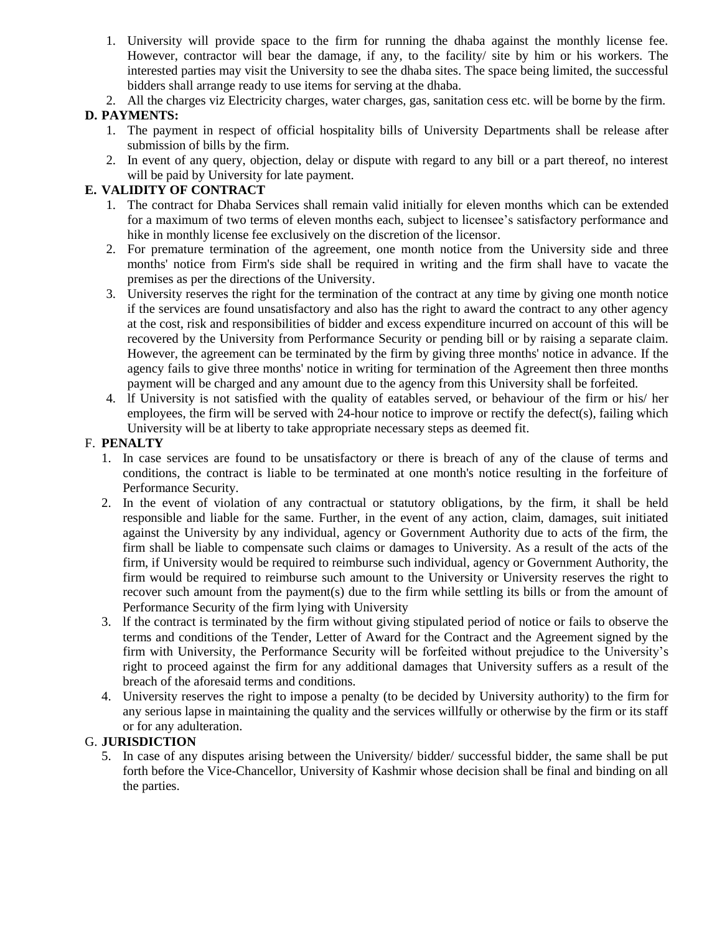- 1. University will provide space to the firm for running the dhaba against the monthly license fee. However, contractor will bear the damage, if any, to the facility/ site by him or his workers. The interested parties may visit the University to see the dhaba sites. The space being limited, the successful bidders shall arrange ready to use items for serving at the dhaba.
- 2. All the charges viz Electricity charges, water charges, gas, sanitation cess etc. will be borne by the firm.

## **D. PAYMENTS:**

- 1. The payment in respect of official hospitality bills of University Departments shall be release after submission of bills by the firm.
- 2. In event of any query, objection, delay or dispute with regard to any bill or a part thereof, no interest will be paid by University for late payment.

### **E. VALIDITY OF CONTRACT**

- 1. The contract for Dhaba Services shall remain valid initially for eleven months which can be extended for a maximum of two terms of eleven months each, subject to licensee's satisfactory performance and hike in monthly license fee exclusively on the discretion of the licensor.
- 2. For premature termination of the agreement, one month notice from the University side and three months' notice from Firm's side shall be required in writing and the firm shall have to vacate the premises as per the directions of the University.
- 3. University reserves the right for the termination of the contract at any time by giving one month notice if the services are found unsatisfactory and also has the right to award the contract to any other agency at the cost, risk and responsibilities of bidder and excess expenditure incurred on account of this will be recovered by the University from Performance Security or pending bill or by raising a separate claim. However, the agreement can be terminated by the firm by giving three months' notice in advance. If the agency fails to give three months' notice in writing for termination of the Agreement then three months payment will be charged and any amount due to the agency from this University shall be forfeited.
- 4. lf University is not satisfied with the quality of eatables served, or behaviour of the firm or his/ her employees, the firm will be served with 24-hour notice to improve or rectify the defect(s), failing which University will be at liberty to take appropriate necessary steps as deemed fit.

#### F. **PENALTY**

- 1. In case services are found to be unsatisfactory or there is breach of any of the clause of terms and conditions, the contract is liable to be terminated at one month's notice resulting in the forfeiture of Performance Security.
- 2. In the event of violation of any contractual or statutory obligations, by the firm, it shall be held responsible and liable for the same. Further, in the event of any action, claim, damages, suit initiated against the University by any individual, agency or Government Authority due to acts of the firm, the firm shall be liable to compensate such claims or damages to University. As a result of the acts of the firm, if University would be required to reimburse such individual, agency or Government Authority, the firm would be required to reimburse such amount to the University or University reserves the right to recover such amount from the payment(s) due to the firm while settling its bills or from the amount of Performance Security of the firm lying with University
- 3. lf the contract is terminated by the firm without giving stipulated period of notice or fails to observe the terms and conditions of the Tender, Letter of Award for the Contract and the Agreement signed by the firm with University, the Performance Security will be forfeited without prejudice to the University's right to proceed against the firm for any additional damages that University suffers as a result of the breach of the aforesaid terms and conditions.
- 4. University reserves the right to impose a penalty (to be decided by University authority) to the firm for any serious lapse in maintaining the quality and the services willfully or otherwise by the firm or its staff or for any adulteration.

#### G. **JURISDICTION**

5. In case of any disputes arising between the University/ bidder/ successful bidder, the same shall be put forth before the Vice-Chancellor, University of Kashmir whose decision shall be final and binding on all the parties.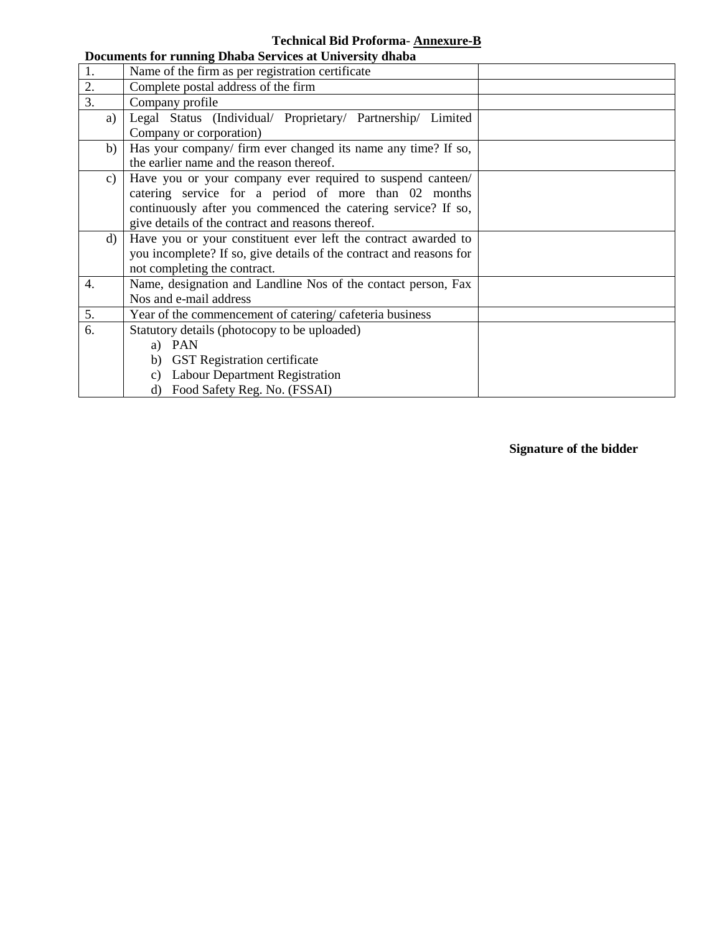## **Technical Bid Proforma**- **Annexure-B**

|                  | Documents for running Dhaba Services at University dhaba            |  |  |
|------------------|---------------------------------------------------------------------|--|--|
| 1.               | Name of the firm as per registration certificate                    |  |  |
| 2.               | Complete postal address of the firm                                 |  |  |
| $\overline{3}$ . | Company profile                                                     |  |  |
| a)               | Legal Status (Individual/ Proprietary/ Partnership/ Limited         |  |  |
|                  | Company or corporation)                                             |  |  |
| b)               | Has your company/ firm ever changed its name any time? If so,       |  |  |
|                  | the earlier name and the reason thereof.                            |  |  |
| c)               | Have you or your company ever required to suspend canteen/          |  |  |
|                  | catering service for a period of more than 02 months                |  |  |
|                  | continuously after you commenced the catering service? If so,       |  |  |
|                  | give details of the contract and reasons thereof.                   |  |  |
| d)               | Have you or your constituent ever left the contract awarded to      |  |  |
|                  | you incomplete? If so, give details of the contract and reasons for |  |  |
|                  | not completing the contract.                                        |  |  |
| 4.               | Name, designation and Landline Nos of the contact person, Fax       |  |  |
|                  | Nos and e-mail address                                              |  |  |
| 5.               | Year of the commencement of catering/cafeteria business             |  |  |
| 6.               | Statutory details (photocopy to be uploaded)                        |  |  |
|                  | a) PAN                                                              |  |  |
|                  | b) GST Registration certificate                                     |  |  |
|                  | c) Labour Department Registration                                   |  |  |
|                  | d) Food Safety Reg. No. (FSSAI)                                     |  |  |

## **Signature of the bidder**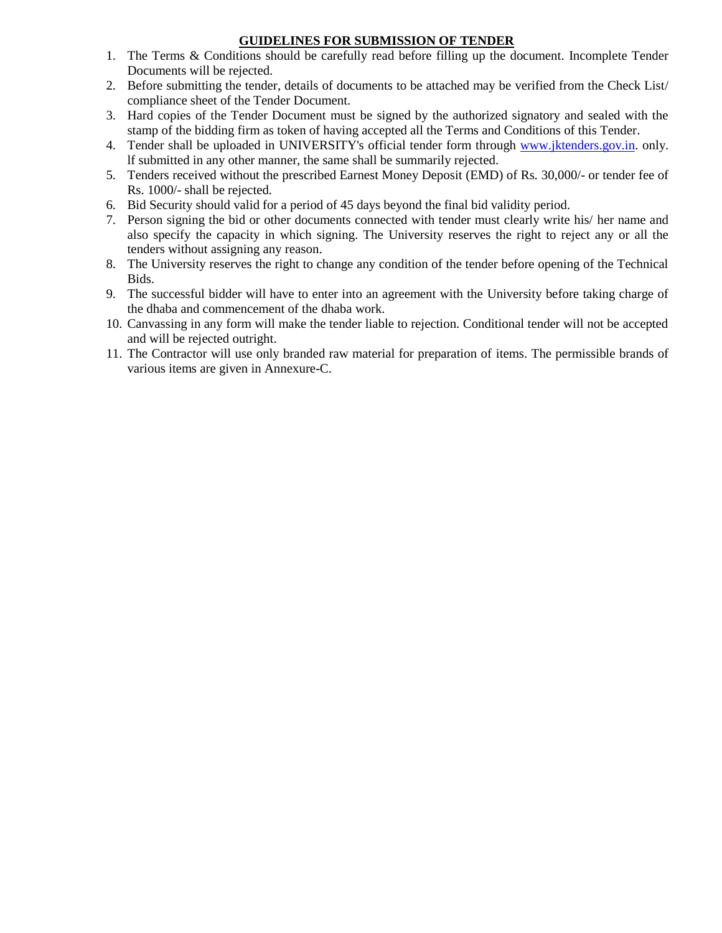### **GUIDELINES FOR SUBMISSION OF TENDER**

- 1. The Terms & Conditions should be carefully read before filling up the document. Incomplete Tender Documents will be rejected.
- 2. Before submitting the tender, details of documents to be attached may be verified from the Check List/ compliance sheet of the Tender Document.
- 3. Hard copies of the Tender Document must be signed by the authorized signatory and sealed with the stamp of the bidding firm as token of having accepted all the Terms and Conditions of this Tender.
- 4. Tender shall be uploaded in UNIVERSITY's official tender form through [www.jktenders.gov.in.](http://www.jktenders.gov.in/) only. lf submitted in any other manner, the same shall be summarily rejected.
- 5. Tenders received without the prescribed Earnest Money Deposit (EMD) of Rs. 30,000/- or tender fee of Rs. 1000/- shall be rejected.
- 6. Bid Security should valid for a period of 45 days beyond the final bid validity period.
- 7. Person signing the bid or other documents connected with tender must clearly write his/ her name and also specify the capacity in which signing. The University reserves the right to reject any or all the tenders without assigning any reason.
- 8. The University reserves the right to change any condition of the tender before opening of the Technical Bids.
- 9. The successful bidder will have to enter into an agreement with the University before taking charge of the dhaba and commencement of the dhaba work.
- 10. Canvassing in any form will make the tender liable to rejection. Conditional tender will not be accepted and will be rejected outright.
- 11. The Contractor will use only branded raw material for preparation of items. The permissible brands of various items are given in Annexure-C.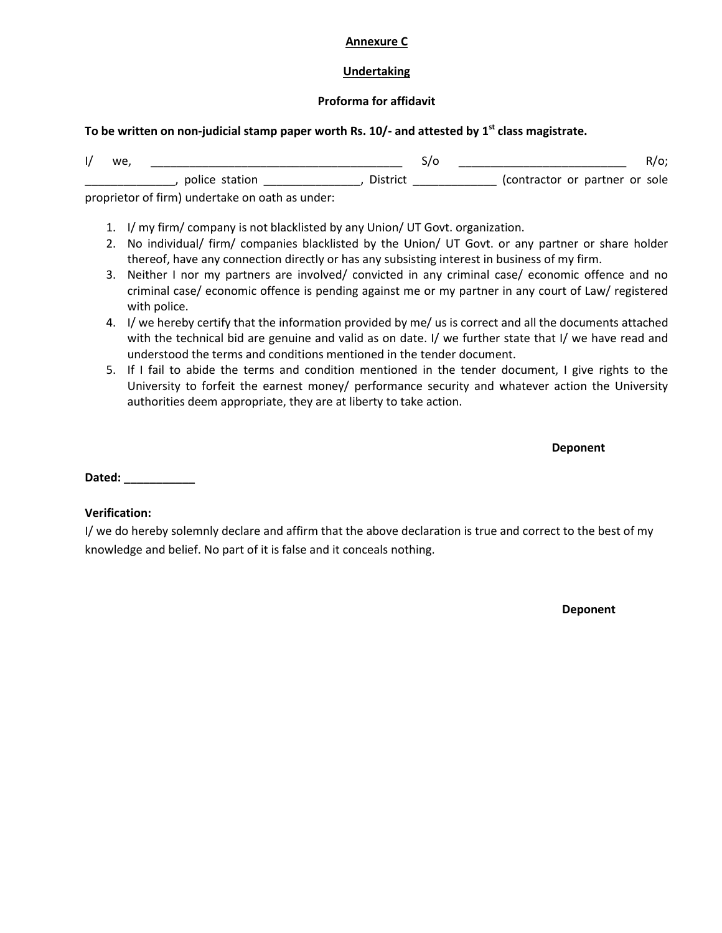#### **Annexure C**

### **Undertaking**

### **Proforma for affidavit**

### **To be written on non-judicial stamp paper worth Rs. 10/- and attested by 1st class magistrate.**

| we. |                |          |                                |
|-----|----------------|----------|--------------------------------|
|     | police station | District | (contractor or partner or sole |

proprietor of firm) undertake on oath as under:

- 1. I/ my firm/ company is not blacklisted by any Union/ UT Govt. organization.
- 2. No individual/ firm/ companies blacklisted by the Union/ UT Govt. or any partner or share holder thereof, have any connection directly or has any subsisting interest in business of my firm.
- 3. Neither I nor my partners are involved/ convicted in any criminal case/ economic offence and no criminal case/ economic offence is pending against me or my partner in any court of Law/ registered with police.
- 4. I/ we hereby certify that the information provided by me/ us is correct and all the documents attached with the technical bid are genuine and valid as on date. I/ we further state that I/ we have read and understood the terms and conditions mentioned in the tender document.
- 5. If I fail to abide the terms and condition mentioned in the tender document, I give rights to the University to forfeit the earnest money/ performance security and whatever action the University authorities deem appropriate, they are at liberty to take action.

**Deponent**

**Dated: \_\_\_\_\_\_\_\_\_\_\_**

## **Verification:**

I/ we do hereby solemnly declare and affirm that the above declaration is true and correct to the best of my knowledge and belief. No part of it is false and it conceals nothing.

**Deponent**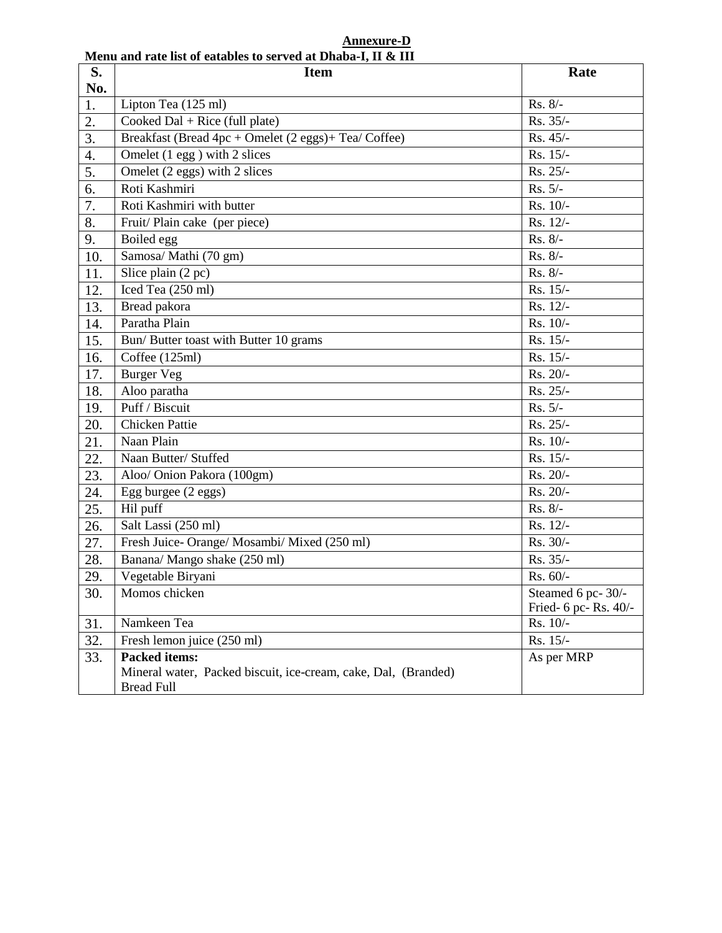**Annexure-D Menu and rate list of eatables to served at Dhaba-I, II & III**

| S.               | ntena anu faic noi of camoles to sel veu at Dhaoa 1, 11 w 111<br><b>Item</b>        | Rate                  |  |  |
|------------------|-------------------------------------------------------------------------------------|-----------------------|--|--|
| No.              |                                                                                     |                       |  |  |
| 1.               | Lipton Tea (125 ml)                                                                 | Rs. 8/-               |  |  |
| 2.               | Cooked Dal + Rice (full plate)                                                      | Rs. 35/-              |  |  |
| 3.               | Breakfast (Bread 4pc + Omelet (2 eggs)+ Tea/ Coffee)                                | Rs. 45/-              |  |  |
| 4.               | Omelet $(1$ egg $)$ with 2 slices                                                   | Rs. 15/-              |  |  |
| $\overline{5}$ . | Omelet (2 eggs) with 2 slices                                                       | Rs. 25/-              |  |  |
| 6.               | Roti Kashmiri                                                                       | $Rs. 5/-$             |  |  |
| 7.               | Roti Kashmiri with butter                                                           | Rs. 10/-              |  |  |
| 8.               | Fruit/Plain cake (per piece)                                                        | Rs. 12/-              |  |  |
| 9.               | Boiled egg                                                                          | Rs. 8/-               |  |  |
| 10.              | Samosa/ Mathi (70 gm)                                                               | Rs. 8/-               |  |  |
| 11.              | Slice plain (2 pc)                                                                  | $Rs. 8/-$             |  |  |
| 12.              | Iced Tea (250 ml)                                                                   | Rs. 15/-              |  |  |
| 13.              | Bread pakora                                                                        | $Rs. 12/-$            |  |  |
| 14.              | Paratha Plain                                                                       | Rs. 10/-              |  |  |
| 15.              | Bun/ Butter toast with Butter 10 grams                                              | Rs. 15/-              |  |  |
| 16.              | Coffee (125ml)                                                                      | Rs. 15/-              |  |  |
| 17.              | <b>Burger Veg</b>                                                                   | Rs. 20/-              |  |  |
| 18.              | Aloo paratha                                                                        | Rs. 25/-              |  |  |
| 19.              | Puff / Biscuit                                                                      | $Rs. 5/-$             |  |  |
| 20.              | <b>Chicken Pattie</b>                                                               | Rs. 25/-              |  |  |
| 21.              | Naan Plain                                                                          | Rs. 10/-              |  |  |
| 22.              | Naan Butter/ Stuffed                                                                | Rs. 15/-              |  |  |
| 23.              | Aloo/ Onion Pakora (100gm)                                                          | Rs. 20/-              |  |  |
| 24.              | Egg burgee (2 eggs)                                                                 | Rs. 20/-              |  |  |
| 25.              | Hil puff                                                                            | Rs. 8/-               |  |  |
| 26.              | Salt Lassi (250 ml)                                                                 | Rs. 12/-              |  |  |
| 27.              | Fresh Juice- Orange/ Mosambi/ Mixed (250 ml)                                        | Rs. 30/-              |  |  |
| 28.              | Banana/ Mango shake (250 ml)                                                        | Rs. 35/-              |  |  |
| 29.              | Vegetable Biryani                                                                   | Rs. 60/-              |  |  |
| 30.              | Momos chicken                                                                       | Steamed 6 pc-30/-     |  |  |
|                  |                                                                                     | Fried- 6 pc- Rs. 40/- |  |  |
| 31.              | Namkeen Tea                                                                         | Rs. 10/-              |  |  |
| 32.              | Fresh lemon juice (250 ml)                                                          | Rs. 15/-              |  |  |
| 33.              | <b>Packed items:</b>                                                                | As per MRP            |  |  |
|                  | Mineral water, Packed biscuit, ice-cream, cake, Dal, (Branded)<br><b>Bread Full</b> |                       |  |  |
|                  |                                                                                     |                       |  |  |